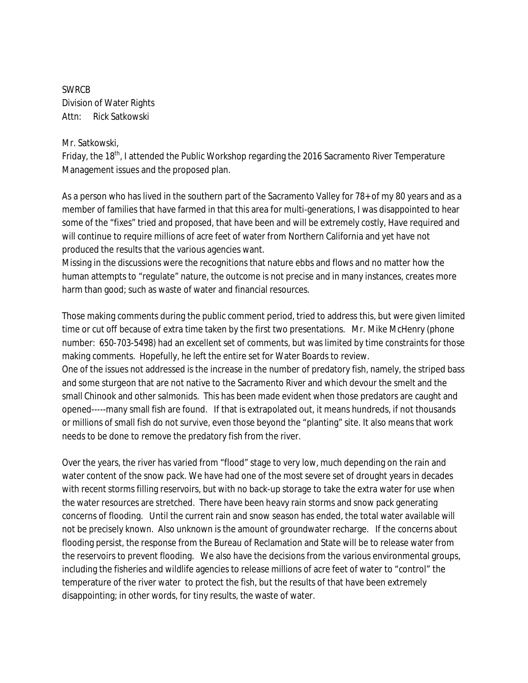SWRCB Division of Water Rights Attn: Rick Satkowski

## Mr. Satkowski,

Friday, the 18<sup>th</sup>, I attended the Public Workshop regarding the 2016 Sacramento River Temperature Management issues and the proposed plan.

As a person who has lived in the southern part of the Sacramento Valley for 78+ of my 80 years and as a member of families that have farmed in that this area for multi-generations, I was disappointed to hear some of the "fixes" tried and proposed, that have been and will be extremely costly, Have required and will continue to require millions of acre feet of water from Northern California and yet have not produced the results that the various agencies want.

Missing in the discussions were the recognitions that nature ebbs and flows and no matter how the human attempts to "regulate" nature, the outcome is not precise and in many instances, creates more harm than good; such as waste of water and financial resources.

Those making comments during the public comment period, tried to address this, but were given limited time or cut off because of extra time taken by the first two presentations. Mr. Mike McHenry (phone number: 650-703-5498) had an excellent set of comments, but was limited by time constraints for those making comments. Hopefully, he left the entire set for Water Boards to review.

One of the issues not addressed is the increase in the number of predatory fish, namely, the striped bass and some sturgeon that are not native to the Sacramento River and which devour the smelt and the small Chinook and other salmonids. This has been made evident when those predators are caught and opened-----many small fish are found. If that is extrapolated out, it means hundreds, if not thousands or millions of small fish do not survive, even those beyond the "planting" site. It also means that work needs to be done to remove the predatory fish from the river.

Over the years, the river has varied from "flood" stage to very low, much depending on the rain and water content of the snow pack. We have had one of the most severe set of drought years in decades with recent storms filling reservoirs, but with no back-up storage to take the extra water for use when the water resources are stretched. There have been heavy rain storms and snow pack generating concerns of flooding. Until the current rain and snow season has ended, the total water available will not be precisely known. Also unknown is the amount of groundwater recharge. If the concerns about flooding persist, the response from the Bureau of Reclamation and State will be to release water from the reservoirs to prevent flooding. We also have the decisions from the various environmental groups, including the fisheries and wildlife agencies to release millions of acre feet of water to "control" the temperature of the river water to protect the fish, but the results of that have been extremely disappointing; in other words, for tiny results, the waste of water.